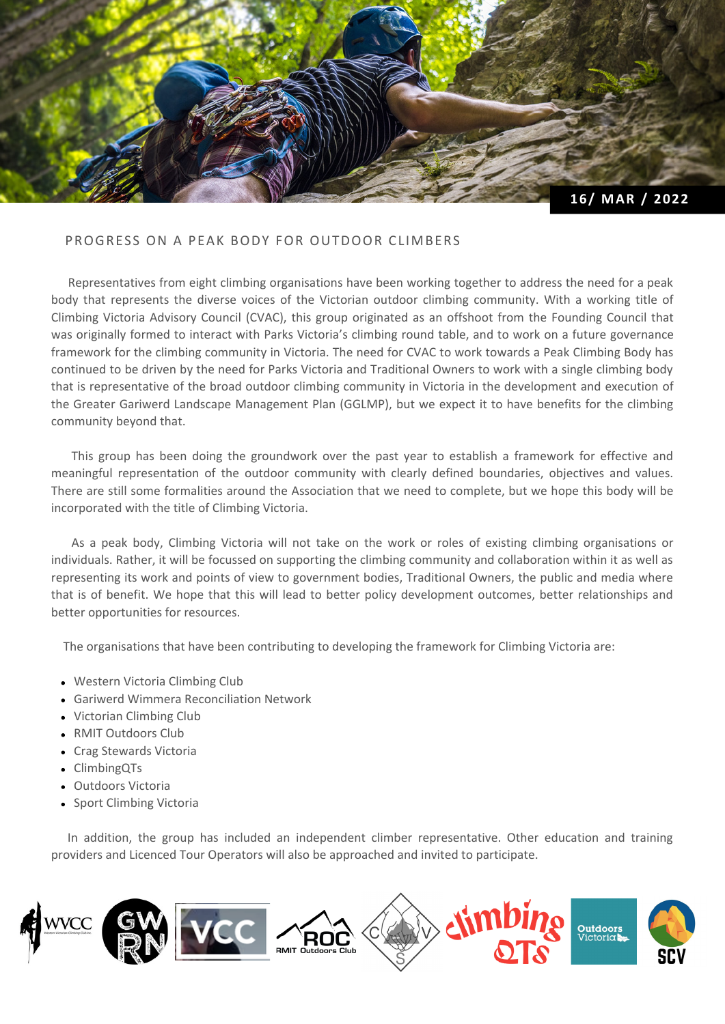

## PROGRESS ON A PEAK BODY FOR OUTDOOR CLIMBERS

Representatives from eight climbing organisations have been working together to address the need for a peak body that represents the diverse voices of the Victorian outdoor climbing community. With a working title of Climbing Victoria Advisory Council (CVAC), this group originated as an offshoot from the Founding Council that was originally formed to interact with Parks Victoria's climbing round table, and to work on a future governance framework for the climbing community in Victoria. The need for CVAC to work towards a Peak Climbing Body has continued to be driven by the need for Parks Victoria and Traditional Owners to work with a single climbing body that is representative of the broad outdoor climbing community in Victoria in the development and execution of the Greater Gariwerd Landscape Management Plan (GGLMP), but we expect it to have benefits for the climbing community beyond that.

This group has been doing the groundwork over the past year to establish a framework for effective and meaningful representation of the outdoor community with clearly defined boundaries, objectives and values. There are still some formalities around the Association that we need to complete, but we hope this body will be incorporated with the title of Climbing Victoria.

As a peak body, Climbing Victoria will not take on the work or roles of existing climbing organisations or individuals. Rather, it will be focussed on supporting the climbing community and collaboration within it as well as representing its work and points of view to government bodies, Traditional Owners, the public and media where that is of benefit. We hope that this will lead to better policy development outcomes, better relationships and better opportunities for resources.

The organisations that have been contributing to developing the framework for Climbing Victoria are:

- Western Victoria Climbing Club
- Gariwerd Wimmera Reconciliation Network
- Victorian Climbing Club
- RMIT Outdoors Club
- Crag Stewards Victoria
- ClimbingQTs
- Outdoors Victoria
- Sport Climbing Victoria

In addition, the group has included an independent climber representative. Other education and training providers and Licenced Tour Operators will also be approached and invited to participate.